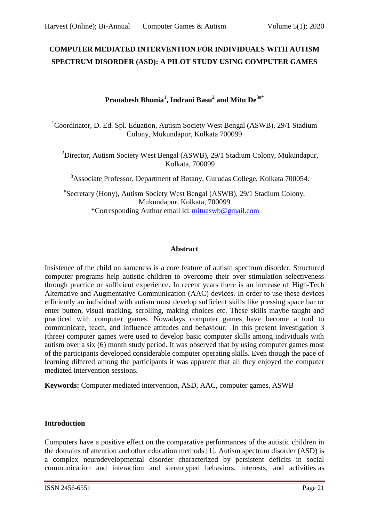# **COMPUTER MEDIATED INTERVENTION FOR INDIVIDUALS WITH AUTISM SPECTRUM DISORDER (ASD): A PILOT STUDY USING COMPUTER GAMES**

# **Pranabesh Bhunia<sup>1</sup> , Indrani Basu<sup>2</sup> and Mitu De3#\***

<sup>1</sup>Coordinator, D. Ed. Spl. Eduation, Autism Society West Bengal (ASWB), 29/1 Stadium Colony, Mukundapur, Kolkata 700099

<sup>2</sup>Director, Autism Society West Bengal (ASWB), 29/1 Stadium Colony, Mukundapur, Kolkata, 700099

<sup>3</sup>Associate Professor, Department of Botany, Gurudas College, Kolkata 700054.

# Secretary (Hony), Autism Society West Bengal (ASWB), 29/1 Stadium Colony, Mukundapur, Kolkata, 700099 \*Corresponding Author email id: [mituaswb@gmail.com](mailto:mituaswb@gmail.com)

### **Abstract**

Insistence of the child on sameness is a core feature of autism spectrum disorder. Structured computer programs help autistic children to overcome their over stimulation selectiveness through practice or sufficient experience. In recent years there is an increase of High-Tech Alternative and Augmentative Communication (AAC) devices. In order to use these devices efficiently an individual with autism must develop sufficient skills like pressing space bar or enter button, visual tracking, scrolling, making choices etc. These skills maybe taught and practiced with computer games. Nowadays computer games have become a tool to communicate, teach, and influence attitudes and behaviour. In this present investigation 3 (three) computer games were used to develop basic computer skills among individuals with autism over a six (6) month study period. It was observed that by using computer games most of the participants developed considerable computer operating skills. Even though the pace of learning differed among the participants it was apparent that all they enjoyed the computer mediated intervention sessions.

**Keywords:** Computer mediated intervention, ASD, AAC, computer games, ASWB

### **Introduction**

Computers have a positive effect on the comparative performances of the autistic children in the domains of attention and other education methods [1]. Autism spectrum disorder (ASD) is a complex neurodevelopmental disorder characterized by persistent deficits in social communication and interaction and stereotyped behaviors, interests, and activities as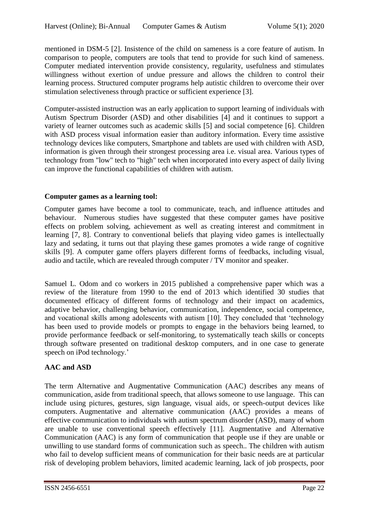mentioned in DSM-5 [2]. Insistence of the child on sameness is a core feature of autism. In comparison to people, computers are tools that tend to provide for such kind of sameness. Computer mediated intervention provide consistency, regularity, usefulness and stimulates willingness without exertion of undue pressure and allows the children to control their learning process. Structured computer programs help autistic children to overcome their over stimulation selectiveness through practice or sufficient experience [3].

Computer-assisted instruction was an early application to support learning of individuals with Autism Spectrum Disorder (ASD) and other disabilities [4] and it continues to support a variety of learner outcomes such as academic skills [5] and social competence [6]. Children with ASD process visual information easier than auditory information. Every time assistive technology devices like computers, Smartphone and tablets are used with children with ASD, information is given through their strongest processing area i.e. visual area. Various types of technology from "low" tech to "high" tech when incorporated into every aspect of daily living can improve the functional capabilities of children with autism.

# **Computer games as a learning tool:**

Computer games have become a tool to communicate, teach, and influence attitudes and behaviour. Numerous studies have suggested that these computer games have positive effects on problem solving, achievement as well as creating interest and commitment in learning [7, 8]. Contrary to conventional beliefs that playing video games is intellectually lazy and sedating, it turns out that playing these games promotes a wide range of cognitive skills [9]. A computer game offers players different forms of feedbacks, including visual, audio and tactile, which are revealed through computer / TV monitor and speaker.

Samuel L. Odom and co workers in 2015 published a comprehensive paper which was a review of the literature from 1990 to the end of 2013 which identified 30 studies that documented efficacy of different forms of technology and their impact on academics, adaptive behavior, challenging behavior, communication, independence, social competence, and vocational skills among adolescents with autism [10]. They concluded that 'technology has been used to provide models or prompts to engage in the behaviors being learned, to provide performance feedback or self-monitoring, to systematically teach skills or concepts through software presented on traditional desktop computers, and in one case to generate speech on iPod technology.'

# **AAC and ASD**

The term Alternative and Augmentative Communication (AAC) describes any means of communication, aside from traditional speech, that allows someone to use language. This can include using pictures, gestures, sign language, visual aids, or speech-output devices like computers. Augmentative and alternative communication (AAC) provides a means of effective communication to individuals with autism spectrum disorder (ASD), many of whom are unable to use conventional speech effectively [11]. Augmentative and Alternative Communication (AAC) is any form of communication that people use if they are unable or unwilling to use standard forms of communication such as speech.. The children with autism who fail to develop sufficient means of communication for their basic needs are at particular risk of developing problem behaviors, limited academic learning, lack of job prospects, poor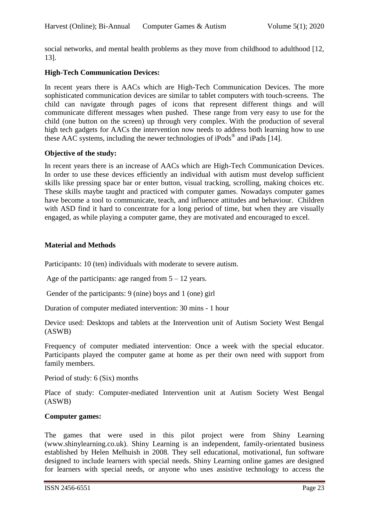social networks, and mental health problems as they move from childhood to adulthood [12, 13].

#### **High-Tech Communication Devices:**

In recent years there is AACs which are High-Tech Communication Devices. The more sophisticated communication devices are similar to tablet computers with touch-screens. The child can navigate through pages of icons that represent different things and will communicate different messages when pushed. These range from very easy to use for the child (one button on the screen) up through very complex. With the production of several high tech gadgets for AACs the intervention now needs to address both learning how to use these AAC systems, including the newer technologies of iPods<sup>®</sup> and iPads [14].

#### **Objective of the study:**

In recent years there is an increase of AACs which are High-Tech Communication Devices. In order to use these devices efficiently an individual with autism must develop sufficient skills like pressing space bar or enter button, visual tracking, scrolling, making choices etc. These skills maybe taught and practiced with computer games. Nowadays computer games have become a tool to communicate, teach, and influence attitudes and behaviour. Children with ASD find it hard to concentrate for a long period of time, but when they are visually engaged, as while playing a computer game, they are motivated and encouraged to excel.

#### **Material and Methods**

Participants: 10 (ten) individuals with moderate to severe autism.

Age of the participants: age ranged from  $5 - 12$  years.

Gender of the participants: 9 (nine) boys and 1 (one) girl

Duration of computer mediated intervention: 30 mins - 1 hour

Device used: Desktops and tablets at the Intervention unit of Autism Society West Bengal (ASWB)

Frequency of computer mediated intervention: Once a week with the special educator. Participants played the computer game at home as per their own need with support from family members.

Period of study: 6 (Six) months

Place of study: Computer-mediated Intervention unit at Autism Society West Bengal (ASWB)

#### **Computer games:**

The games that were used in this pilot project were from Shiny Learning (www.shinylearning.co.uk). Shiny Learning is an independent, family-orientated business established by Helen Melhuish in 2008. They sell educational, motivational, fun software designed to include learners with special needs. Shiny Learning online games are designed for learners with special needs, or anyone who uses assistive technology to access the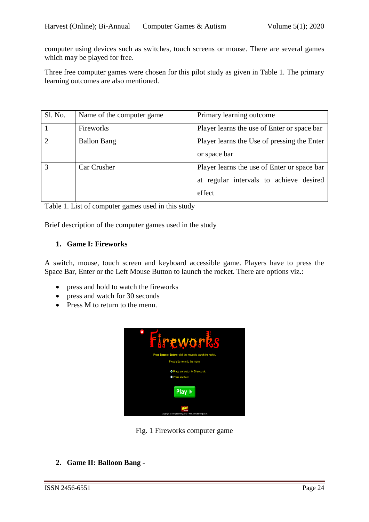computer using devices such as switches, touch screens or mouse. There are several games which may be played for free.

Three free computer games were chosen for this pilot study as given in Table 1. The primary learning outcomes are also mentioned.

| Sl. No.                     | Name of the computer game | Primary learning outcome                                                                         |
|-----------------------------|---------------------------|--------------------------------------------------------------------------------------------------|
|                             | Fireworks                 | Player learns the use of Enter or space bar                                                      |
| $\mathcal{D}_{\mathcal{L}}$ | <b>Ballon Bang</b>        | Player learns the Use of pressing the Enter<br>or space bar                                      |
| 3                           | Car Crusher               | Player learns the use of Enter or space bar<br>at regular intervals to achieve desired<br>effect |

Table 1. List of computer games used in this study

Brief description of the computer games used in the study

### **1. Game I: Fireworks**

A switch, mouse, touch screen and keyboard accessible game. Players have to press the Space Bar, Enter or the Left Mouse Button to launch the rocket. There are options viz.:

- press and hold to watch the fireworks
- press and watch for 30 seconds
- Press M to return to the menu.



Fig. 1 Fireworks computer game

**2. Game II: Balloon Bang -**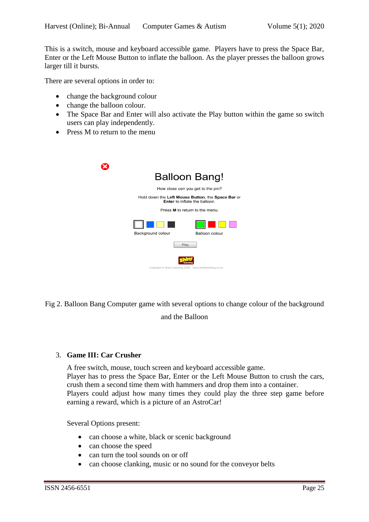This is a switch, mouse and keyboard accessible game. Players have to press the Space Bar, Enter or the Left Mouse Button to inflate the balloon. As the player presses the balloon grows larger till it bursts.

There are several options in order to:

- change the background colour
- change the balloon colour.
- The Space Bar and Enter will also activate the Play button within the game so switch users can play independently.
- Press M to return to the menu

|                                                                                           | <b>Balloon Bang!</b>                                      |  |  |
|-------------------------------------------------------------------------------------------|-----------------------------------------------------------|--|--|
| How close can you get to the pin?                                                         |                                                           |  |  |
| Hold down the Left Mouse Button, the Space Bar or<br><b>Enter</b> to inflate the balloon. |                                                           |  |  |
| Press M to return to the menu.                                                            |                                                           |  |  |
|                                                                                           |                                                           |  |  |
| Background colour                                                                         | Balloon colour                                            |  |  |
|                                                                                           | Play                                                      |  |  |
|                                                                                           |                                                           |  |  |
|                                                                                           | Copyright © Shiny Learning 2009 - www.shinylearning.co.uk |  |  |

Fig 2. Balloon Bang Computer game with several options to change colour of the background

### and the Balloon

#### 3. **Game III: Car Crusher**

A free switch, mouse, touch screen and keyboard accessible game. Player has to press the Space Bar, Enter or the Left Mouse Button to crush the cars, crush them a second time them with hammers and drop them into a container. Players could adjust how many times they could play the three step game before earning a reward, which is a picture of an AstroCar!

Several Options present:

- can choose a white, black or scenic background
- can choose the speed
- can turn the tool sounds on or off
- can choose clanking, music or no sound for the conveyor belts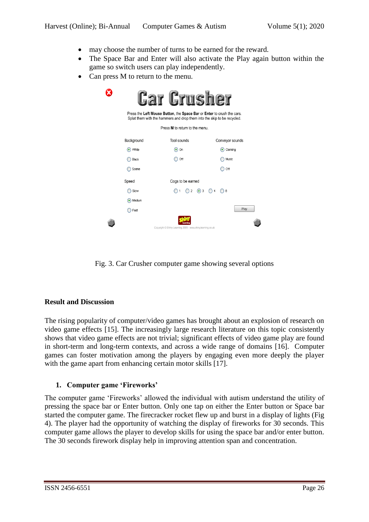- may choose the number of turns to be earned for the reward.
- The Space Bar and Enter will also activate the Play again button within the game so switch users can play independently.
- Can press M to return to the menu.

| <b>Car Crusher</b><br>Press the Left Mouse Button, the Space Bar or Enter to crush the cars.<br>Splat them with the hammers and drop them into the skip to be recycled. |                                                              |                                   |  |  |  |
|-------------------------------------------------------------------------------------------------------------------------------------------------------------------------|--------------------------------------------------------------|-----------------------------------|--|--|--|
| Press M to return to the menu.                                                                                                                                          |                                                              |                                   |  |  |  |
| Background                                                                                                                                                              | Tool sounds                                                  | Conveyor sounds                   |  |  |  |
| $\bullet$ White                                                                                                                                                         | $\left(\bullet\right)$ On                                    | $\left( \bullet \right)$ Clanking |  |  |  |
| <b>Black</b>                                                                                                                                                            | $)$ Off                                                      | Music                             |  |  |  |
| Scene                                                                                                                                                                   |                                                              | Off                               |  |  |  |
| Speed                                                                                                                                                                   | Cogs to be earned                                            |                                   |  |  |  |
| Slow                                                                                                                                                                    | $\bigcap$ 1 $\bigcap$ 2 $\bigcirc$ 3 $\bigcap$ 4 $\bigcap$ 8 |                                   |  |  |  |
| Medium                                                                                                                                                                  |                                                              |                                   |  |  |  |
| Fast                                                                                                                                                                    |                                                              | Play                              |  |  |  |
|                                                                                                                                                                         | Copyright © Shiny Learning 2009 - www.shinylearning.co.uk    |                                   |  |  |  |

Fig. 3. Car Crusher computer game showing several options

### **Result and Discussion**

The rising popularity of computer/video games has brought about an explosion of research on video game effects [15]. The increasingly large research literature on this topic consistently shows that video game effects are not trivial; significant effects of video game play are found in short-term and long-term contexts, and across a wide range of domains [16]. Computer games can foster motivation among the players by engaging even more deeply the player with the game apart from enhancing certain motor skills [17].

## **1. Computer game 'Fireworks'**

The computer game 'Fireworks' allowed the individual with autism understand the utility of pressing the space bar or Enter button. Only one tap on either the Enter button or Space bar started the computer game. The firecracker rocket flew up and burst in a display of lights (Fig 4). The player had the opportunity of watching the display of fireworks for 30 seconds. This computer game allows the player to develop skills for using the space bar and/or enter button. The 30 seconds firework display help in improving attention span and concentration.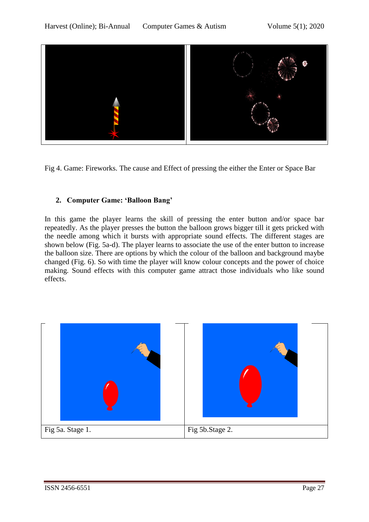

Fig 4. Game: Fireworks. The cause and Effect of pressing the either the Enter or Space Bar

# **2. Computer Game: 'Balloon Bang'**

In this game the player learns the skill of pressing the enter button and/or space bar repeatedly. As the player presses the button the balloon grows bigger till it gets pricked with the needle among which it bursts with appropriate sound effects. The different stages are shown below (Fig. 5a-d). The player learns to associate the use of the enter button to increase the balloon size. There are options by which the colour of the balloon and background maybe changed (Fig. 6). So with time the player will know colour concepts and the power of choice making. Sound effects with this computer game attract those individuals who like sound effects.

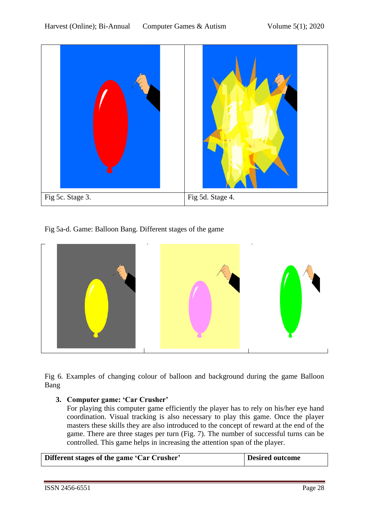

Fig 5a-d. Game: Balloon Bang. Different stages of the game



Fig 6. Examples of changing colour of balloon and background during the game Balloon Bang

### **3. Computer game: 'Car Crusher'**

For playing this computer game efficiently the player has to rely on his/her eye hand coordination. Visual tracking is also necessary to play this game. Once the player masters these skills they are also introduced to the concept of reward at the end of the game. There are three stages per turn (Fig. 7). The number of successful turns can be controlled. This game helps in increasing the attention span of the player.

| Different stages of the game 'Car Crusher'<br>Desired outcome |
|---------------------------------------------------------------|
|---------------------------------------------------------------|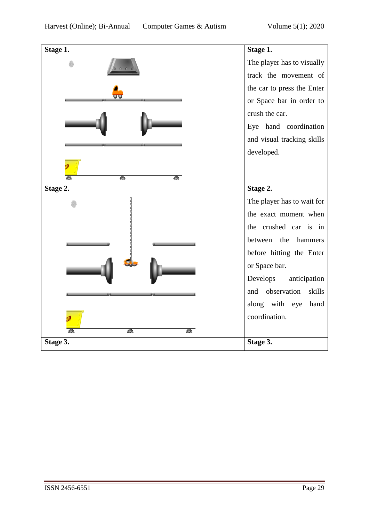| Stage 1.           | Stage 1.                   |
|--------------------|----------------------------|
|                    | The player has to visually |
|                    | track the movement of      |
| JŪ                 | the car to press the Enter |
|                    | or Space bar in order to   |
|                    | crush the car.             |
|                    | Eye hand coordination      |
|                    | and visual tracking skills |
|                    | developed.                 |
|                    |                            |
| $\frac{1}{2}$<br>疊 |                            |
| Stage 2.           | Stage 2.                   |
|                    | The player has to wait for |
|                    | the exact moment when      |
|                    | the crushed car is in      |
|                    | between the hammers        |
|                    | before hitting the Enter   |
|                    | or Space bar.              |
|                    | Develops<br>anticipation   |
|                    | and observation<br>skills  |
|                    | along with eye<br>hand     |
|                    | coordination.              |
| 惢<br>惢             |                            |
| Stage 3.           | Stage 3.                   |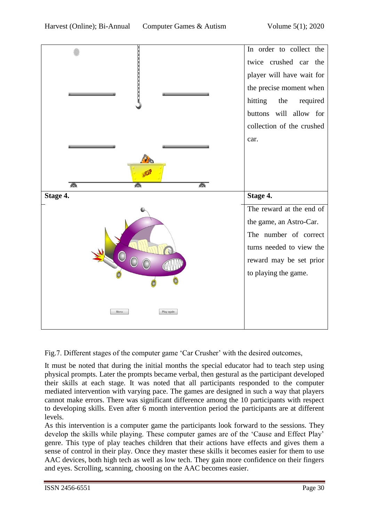

Fig.7. Different stages of the computer game 'Car Crusher' with the desired outcomes,

It must be noted that during the initial months the special educator had to teach step using physical prompts. Later the prompts became verbal, then gestural as the participant developed their skills at each stage. It was noted that all participants responded to the computer mediated intervention with varying pace. The games are designed in such a way that players cannot make errors. There was significant difference among the 10 participants with respect to developing skills. Even after 6 month intervention period the participants are at different levels.

As this intervention is a computer game the participants look forward to the sessions. They develop the skills while playing. These computer games are of the 'Cause and Effect Play' genre. This type of play teaches children that their actions have effects and gives them a sense of control in their play. Once they master these skills it becomes easier for them to use AAC devices, both high tech as well as low tech. They gain more confidence on their fingers and eyes. Scrolling, scanning, choosing on the AAC becomes easier.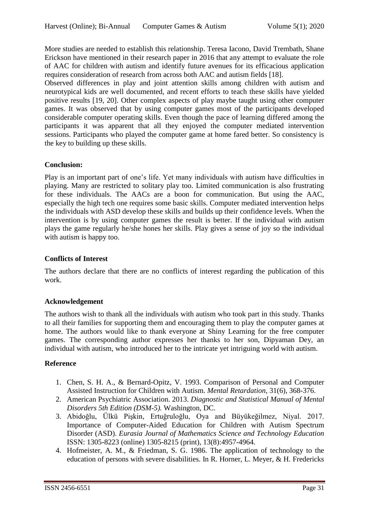More studies are needed to establish this relationship. Teresa Iacono, David Trembath, Shane Erickson have mentioned in their research paper in 2016 that any attempt to evaluate the role of AAC for children with autism and identify future avenues for its efficacious application requires consideration of research from across both AAC and autism fields [18].

Observed differences in play and joint attention skills among children with autism and neurotypical kids are well documented, and recent efforts to teach these skills have yielded positive results [19, 20]. Other complex aspects of play maybe taught using other computer games. It was observed that by using computer games most of the participants developed considerable computer operating skills. Even though the pace of learning differed among the participants it was apparent that all they enjoyed the computer mediated intervention sessions. Participants who played the computer game at home fared better. So consistency is the key to building up these skills.

### **Conclusion:**

Play is an important part of one's life. Yet many individuals with autism have difficulties in playing. Many are restricted to solitary play too. Limited communication is also frustrating for these individuals. The AACs are a boon for communication. But using the AAC, especially the high tech one requires some basic skills. Computer mediated intervention helps the individuals with ASD develop these skills and builds up their confidence levels. When the intervention is by using computer games the result is better. If the individual with autism plays the game regularly he/she hones her skills. Play gives a sense of joy so the individual with autism is happy too.

### **Conflicts of Interest**

The authors declare that there are no conflicts of interest regarding the publication of this work.

### **Acknowledgement**

The authors wish to thank all the individuals with autism who took part in this study. Thanks to all their families for supporting them and encouraging them to play the computer games at home. The authors would like to thank everyone at Shiny Learning for the free computer games. The corresponding author expresses her thanks to her son, Dipyaman Dey, an individual with autism, who introduced her to the intricate yet intriguing world with autism.

## **Reference**

- 1. Chen, S. H. A., & Bernard-Opitz, V. 1993. Comparison of Personal and Computer Assisted Instruction for Children with Autism. *Mental Retardation*, 31(6), 368-376.
- 2. American Psychiatric Association. 2013. *Diagnostic and Statistical Manual of Mental Disorders 5th Edition (DSM-5).* Washington, DC.
- 3. Abidoğlu, Ülkü Pişkin, Ertuğruloğlu, Oya and Büyükeğilmez, Niyal. 2017. Importance of Computer-Aided Education for Children with Autism Spectrum Disorder (ASD). *Eurasia Journal of Mathematics Science and Technology Education* ISSN: 1305-8223 (online) 1305-8215 (print), 13(8):4957-4964.
- 4. Hofmeister, A. M., & Friedman, S. G. 1986. The application of technology to the education of persons with severe disabilities. In R. Horner, L. Meyer, & H. Fredericks